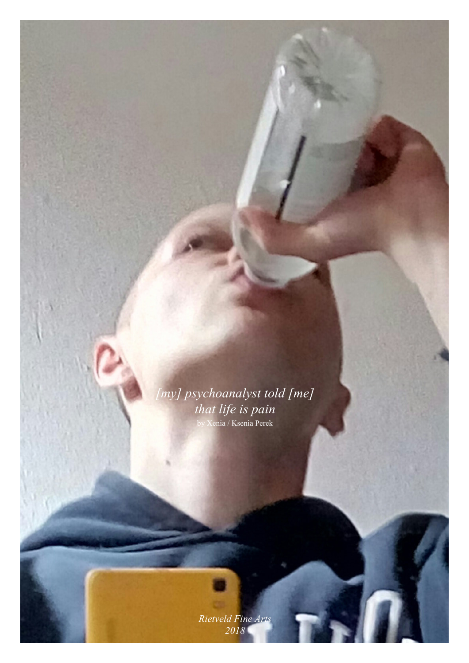

*[my] psychoanalyst told [me] that life is pain*  by Xenia / Ksenia Perek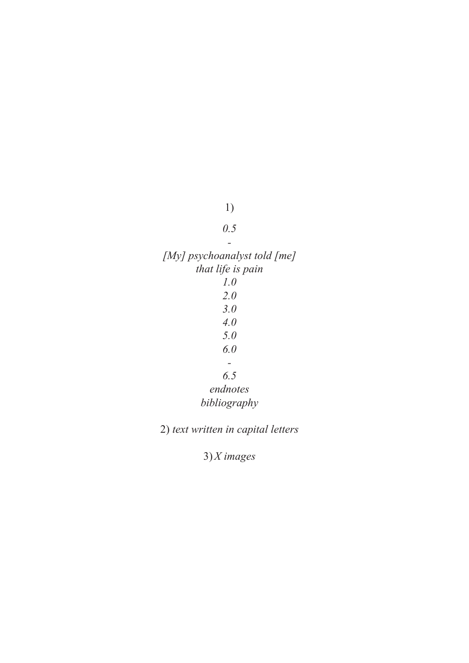## 1)

## *0.5*

*-*

*[My] psychoanalyst told [me] that life is pain 1.0 2.0 3.0 4.0 5.0 6.0 - 6.5 endnotes bibliography*

2) *text written in capital letters*

3)*X images*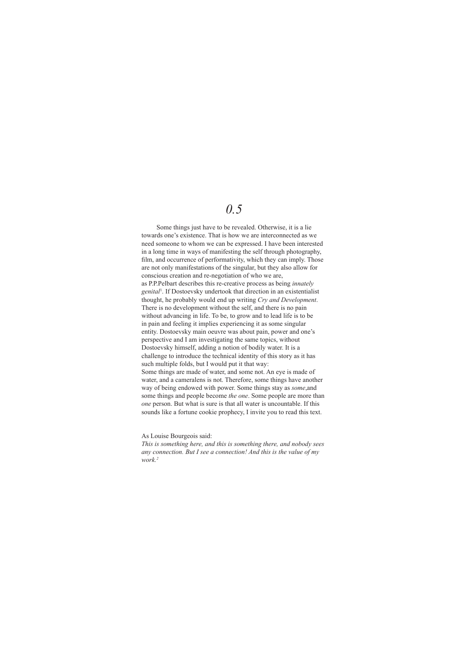## *0.5*

 Some things just have to be revealed. Otherwise, it is a lie towards one's existence. That is how we are interconnected as we need someone to whom we can be expressed. I have been interested in a long time in ways of manifesting the self through photography, film, and occurrence of performativity, which they can imply. Those are not only manifestations of the singular, but they also allow for conscious creation and re-negotiation of who we are, as P.P.Pelbart describes this re-creative process as being *innately genital*<sup>1</sup> . If Dostoevsky undertook that direction in an existentialist thought, he probably would end up writing *Cry and Development*. There is no development without the self, and there is no pain without advancing in life. To be, to grow and to lead life is to be in pain and feeling it implies experiencing it as some singular entity. Dostoevsky main oeuvre was about pain, power and one's perspective and I am investigating the same topics, without Dostoevsky himself, adding a notion of bodily water. It is a challenge to introduce the technical identity of this story as it has such multiple folds, but I would put it that way: Some things are made of water, and some not. An eye is made of water, and a cameralens is not. Therefore, some things have another way of being endowed with power. Some things stay as *some*,and some things and people become *the one*. Some people are more than *one* person. But what is sure is that all water is uncountable. If this sounds like a fortune cookie prophecy, I invite you to read this text.

As Louise Bourgeois said:

*This is something here, and this is something there, and nobody sees any connection. But I see a connection! And this is the value of my work.2*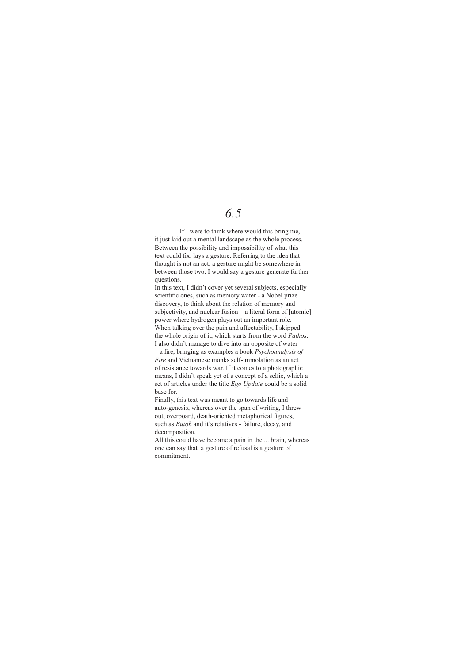## *6.5*

 If I were to think where would this bring me, it just laid out a mental landscape as the whole process. Between the possibility and impossibility of what this text could fix, lays a gesture. Referring to the idea that thought is not an act, a gesture might be somewhere in between those two. I would say a gesture generate further questions.

In this text, I didn't cover yet several subjects, especially scientific ones, such as memory water - a Nobel prize discovery, to think about the relation of memory and subjectivity, and nuclear fusion – a literal form of [atomic] power where hydrogen plays out an important role. When talking over the pain and affectability, I skipped the whole origin of it, which starts from the word *Pathos*. I also didn't manage to dive into an opposite of water – a fire, bringing as examples a book *Psychoanalysis of Fire* and Vietnamese monks self-immolation as an act of resistance towards war. If it comes to a photographic means, I didn't speak yet of a concept of a selfie, which a set of articles under the title *Ego Update* could be a solid base for.

Finally, this text was meant to go towards life and auto-genesis, whereas over the span of writing, I threw out, overboard, death-oriented metaphorical figures, such as *Butoh* and it's relatives - failure, decay, and decomposition.

All this could have become a pain in the ... brain, whereas one can say that a gesture of refusal is a gesture of commitment.